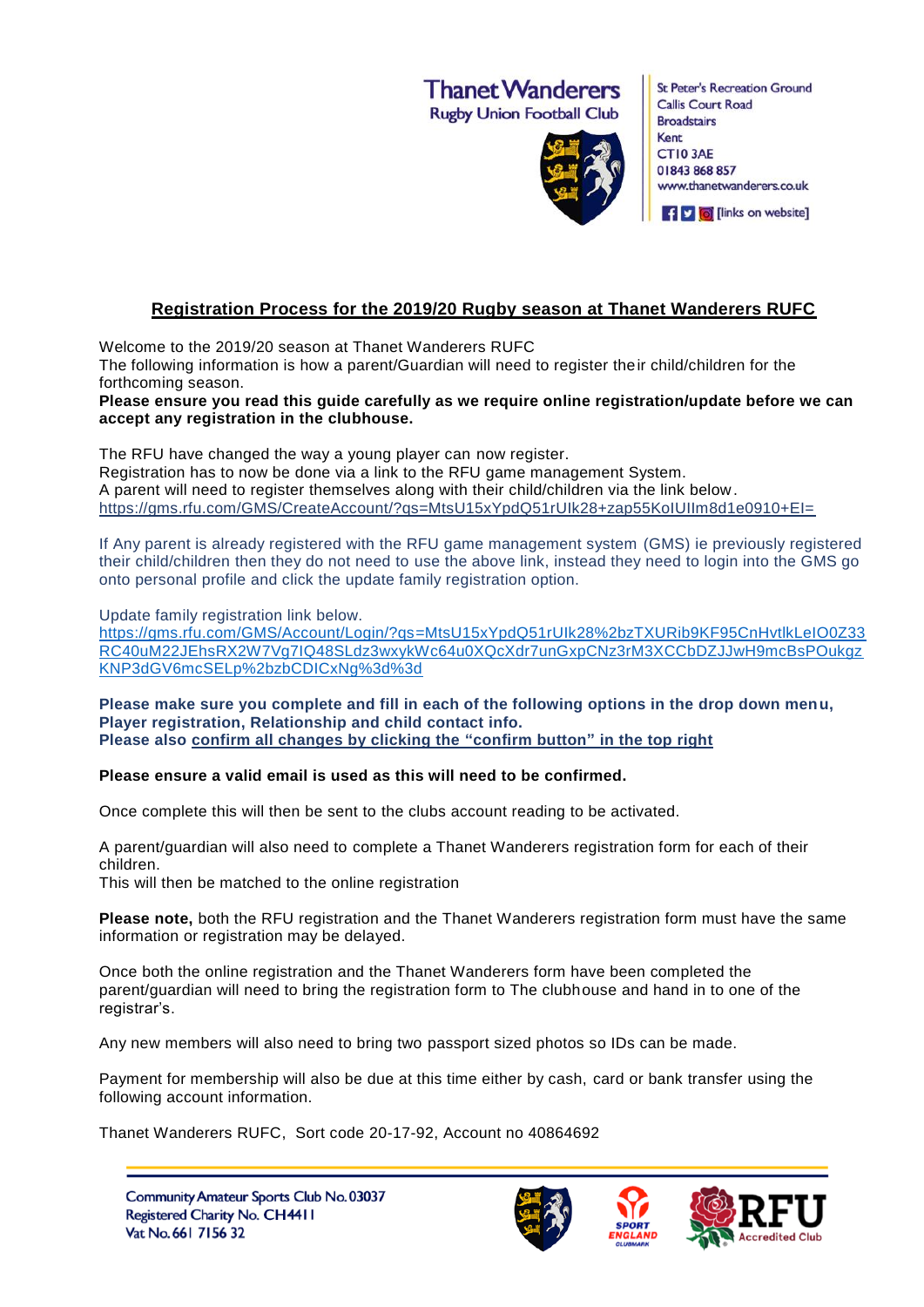**Thanet Wanderers** 

**Rugby Union Football Club** 



**St Peter's Recreation Ground Callis Court Road Broadstairs** Kent CT10 3AE 01843 868 857 www.thanetwanderers.co.uk

f v d [links on website]

## **Registration Process for the 2019/20 Rugby season at Thanet Wanderers RUFC**

Welcome to the 2019/20 season at Thanet Wanderers RUFC

The following information is how a parent/Guardian will need to register their child/children for the forthcoming season.

**Please ensure you read this guide carefully as we require online registration/update before we can accept any registration in the clubhouse.**

The RFU have changed the way a young player can now register. Registration has to now be done via a link to the RFU game management System. A parent will need to register themselves along with their child/children via the link below. [https://gms.rfu.com/GMS/CreateAccount/?qs=MtsU15xYpdQ51rUIk28+zap55KoIUIIm8d1e0910+EI=](https://gms.rfu.com/GMS/CreateAccount/?qs=MtsU15xYpdQ51rUIk28%2bzap55KoIUIIm8d1e0910%2bEI%3d)

If Any parent is already registered with the RFU game management system (GMS) ie previously registered their child/children then they do not need to use the above link, instead they need to login into the GMS go onto personal profile and click the update family registration option.

Update family registration link below.

[https://gms.rfu.com/GMS/Account/Login/?qs=MtsU15xYpdQ51rUIk28%2bzTXURib9KF95CnHvtlkLeIO0Z33](https://gms.rfu.com/GMS/Account/Login/?qs=MtsU15xYpdQ51rUIk28%2bzTXURib9KF95CnHvtlkLeIO0Z33RC40uM22JEhsRX2W7Vg7IQ48SLdz3wxykWc64u0XQcXdr7unGxpCNz3rM3XCCbDZJJwH9mcBsPOukgzKNP3dGV6mcSELp%2bzbCDICxNg%3d%3d) [RC40uM22JEhsRX2W7Vg7IQ48SLdz3wxykWc64u0XQcXdr7unGxpCNz3rM3XCCbDZJJwH9mcBsPOukgz](https://gms.rfu.com/GMS/Account/Login/?qs=MtsU15xYpdQ51rUIk28%2bzTXURib9KF95CnHvtlkLeIO0Z33RC40uM22JEhsRX2W7Vg7IQ48SLdz3wxykWc64u0XQcXdr7unGxpCNz3rM3XCCbDZJJwH9mcBsPOukgzKNP3dGV6mcSELp%2bzbCDICxNg%3d%3d) [KNP3dGV6mcSELp%2bzbCDICxNg%3d%3d](https://gms.rfu.com/GMS/Account/Login/?qs=MtsU15xYpdQ51rUIk28%2bzTXURib9KF95CnHvtlkLeIO0Z33RC40uM22JEhsRX2W7Vg7IQ48SLdz3wxykWc64u0XQcXdr7unGxpCNz3rM3XCCbDZJJwH9mcBsPOukgzKNP3dGV6mcSELp%2bzbCDICxNg%3d%3d)

**Please make sure you complete and fill in each of the following options in the drop down menu, Player registration, Relationship and child contact info. Please also confirm all changes by clicking the "confirm button" in the top right**

## **Please ensure a valid email is used as this will need to be confirmed.**

Once complete this will then be sent to the clubs account reading to be activated.

A parent/guardian will also need to complete a Thanet Wanderers registration form for each of their children.

This will then be matched to the online registration

**Please note,** both the RFU registration and the Thanet Wanderers registration form must have the same information or registration may be delayed.

Once both the online registration and the Thanet Wanderers form have been completed the parent/guardian will need to bring the registration form to The clubhouse and hand in to one of the registrar's.

Any new members will also need to bring two passport sized photos so IDs can be made.

Payment for membership will also be due at this time either by cash, card or bank transfer using the following account information.

Thanet Wanderers RUFC, Sort code 20-17-92, Account no 40864692